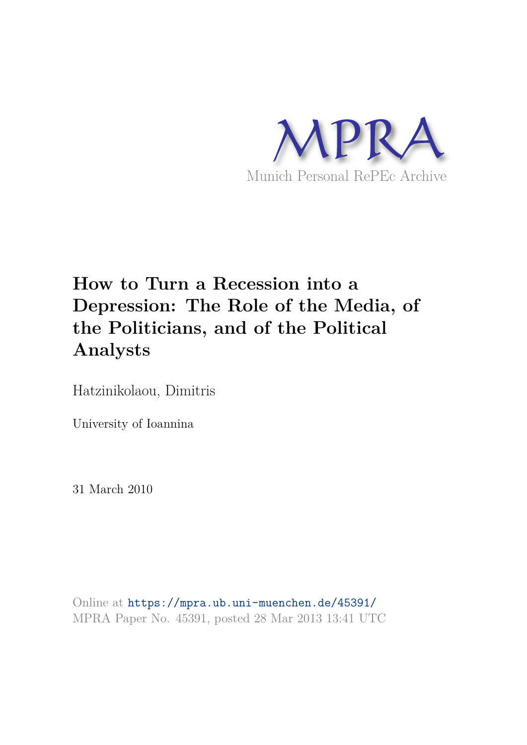

# **How to Turn a Recession into a Depression: The Role of the Media, of the Politicians, and of the Political Analysts**

Hatzinikolaou, Dimitris

University of Ioannina

31 March 2010

Online at https://mpra.ub.uni-muenchen.de/45391/ MPRA Paper No. 45391, posted 28 Mar 2013 13:41 UTC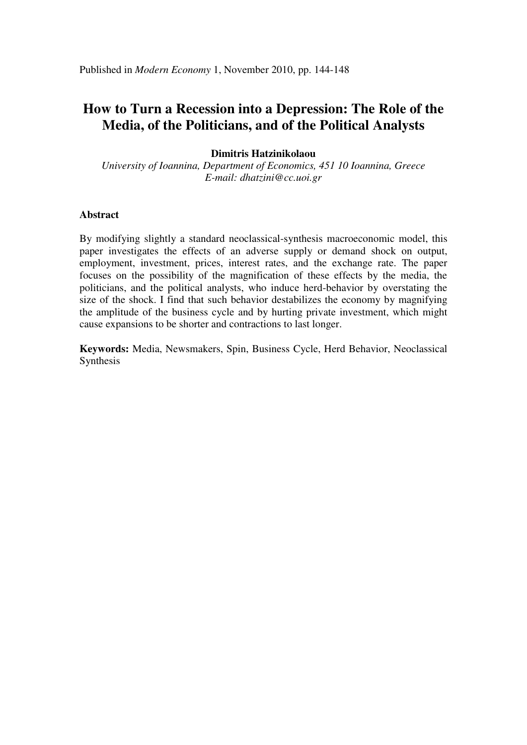# **How to Turn a Recession into a Depression: The Role of the Media, of the Politicians, and of the Political Analysts**

# **Dimitris Hatzinikolaou**

*University of Ioannina, Department of Economics, 451 10 Ioannina, Greece E-mail: [dhatzini@cc.uoi.gr](mailto:dhatzini@cc.uoi.gr)* 

# **Abstract**

By modifying slightly a standard neoclassical-synthesis macroeconomic model, this paper investigates the effects of an adverse supply or demand shock on output, employment, investment, prices, interest rates, and the exchange rate. The paper focuses on the possibility of the magnification of these effects by the media, the politicians, and the political analysts, who induce herd-behavior by overstating the size of the shock. I find that such behavior destabilizes the economy by magnifying the amplitude of the business cycle and by hurting private investment, which might cause expansions to be shorter and contractions to last longer.

**Keywords:** Media, Newsmakers, Spin, Business Cycle, Herd Behavior, Neoclassical Synthesis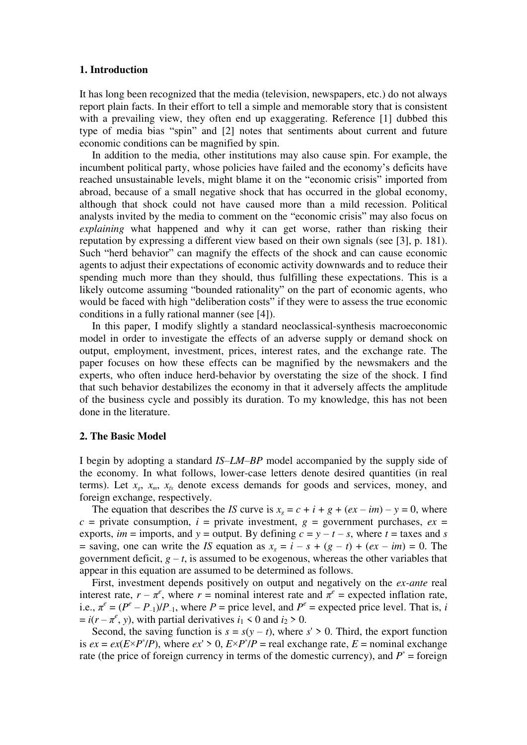# **1. Introduction**

It has long been recognized that the media (television, newspapers, etc.) do not always report plain facts. In their effort to tell a simple and memorable story that is consistent with a prevailing view, they often end up exaggerating. Reference [1] dubbed this type of media bias "spin" and [2] notes that sentiments about current and future economic conditions can be magnified by spin.

In addition to the media, other institutions may also cause spin. For example, the incumbent political party, whose policies have failed and the economy's deficits have reached unsustainable levels, might blame it on the "economic crisis" imported from abroad, because of a small negative shock that has occurred in the global economy, although that shock could not have caused more than a mild recession. Political analysts invited by the media to comment on the "economic crisis" may also focus on *explaining* what happened and why it can get worse, rather than risking their reputation by expressing a different view based on their own signals (see [3], p. 181). Such "herd behavior" can magnify the effects of the shock and can cause economic agents to adjust their expectations of economic activity downwards and to reduce their spending much more than they should, thus fulfilling these expectations. This is a likely outcome assuming "bounded rationality" on the part of economic agents, who would be faced with high "deliberation costs" if they were to assess the true economic conditions in a fully rational manner (see [4]).

In this paper, I modify slightly a standard neoclassical-synthesis macroeconomic model in order to investigate the effects of an adverse supply or demand shock on output, employment, investment, prices, interest rates, and the exchange rate. The paper focuses on how these effects can be magnified by the newsmakers and the experts, who often induce herd-behavior by overstating the size of the shock. I find that such behavior destabilizes the economy in that it adversely affects the amplitude of the business cycle and possibly its duration. To my knowledge, this has not been done in the literature.

# **2. The Basic Model**

I begin by adopting a standard *IS*–*LM*–*BP* model accompanied by the supply side of the economy. In what follows, lower-case letters denote desired quantities (in real terms). Let  $x_e$ ,  $x_m$ ,  $x_k$  denote excess demands for goods and services, money, and foreign exchange, respectively.

The equation that describes the *IS* curve is  $x_e = c + i + g + (ex - im) - y = 0$ , where  $c =$  private consumption,  $i =$  private investment,  $g =$  government purchases,  $ex =$ exports, *im* = imports, and  $y$  = output. By defining  $c = y - t - s$ , where  $t =$  taxes and *s* = saving, one can write the *IS* equation as  $x_e = i - s + (g - t) + (ex - im) = 0$ . The government deficit,  $g - t$ , is assumed to be exogenous, whereas the other variables that appear in this equation are assumed to be determined as follows.

First, investment depends positively on output and negatively on the *ex-ante* real interest rate,  $r - \pi^e$ , where  $r =$  nominal interest rate and  $\pi^e =$  expected inflation rate, i.e.,  $\pi^e = (P^e - P_{-1})/P_{-1}$ , where  $P =$  price level, and  $P^e =$  expected price level. That is, *i*  $= i(r - \pi^e, y)$ , with partial derivatives  $i_1 < 0$  and  $i_2 > 0$ .

Second, the saving function is  $s = s(y - t)$ , where  $s' \ge 0$ . Third, the export function is  $ex = ex(E \times P^* / P)$ , where  $ex' > 0$ ,  $E \times P^* / P$  = real exchange rate,  $E$  = nominal exchange rate (the price of foreign currency in terms of the domestic currency), and  $P^*$  = foreign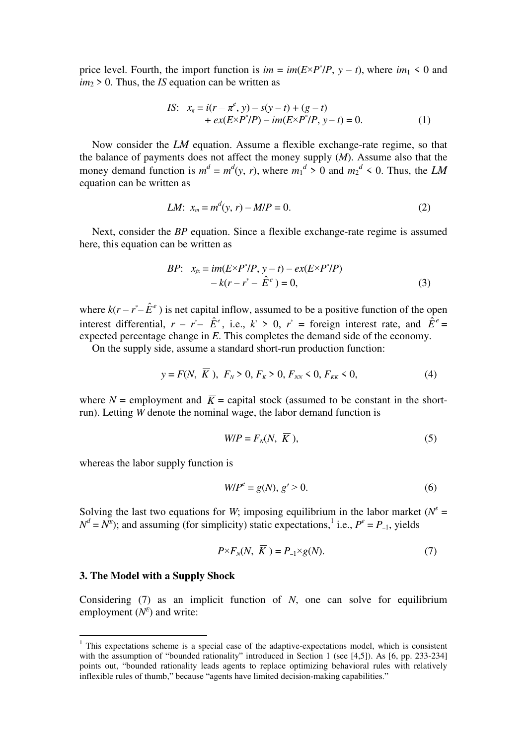price level. Fourth, the import function is  $im = im(E \times P^* / P, y - t)$ , where  $im_1 \le 0$  and *im*2 > 0. Thus, the *IS* equation can be written as

*IS*: 
$$
x_g = i(r - \pi^e, y) - s(y - t) + (g - t)
$$
  
+  $ex(E \times P^* / P) - im(E \times P^* / P, y - t) = 0.$  (1)

 Now consider the *LM* equation. Assume a flexible exchange-rate regime, so that the balance of payments does not affect the money supply (*M*). Assume also that the money demand function is  $m^d = m^d(y, r)$ , where  $m_1^d > 0$  and  $m_2^d < 0$ . Thus, the *LM* equation can be written as

*LM*: 
$$
x_m = m^d(y, r) - M/P = 0.
$$
 (2)

 Next, consider the *BP* equation. Since a flexible exchange-rate regime is assumed here, this equation can be written as

*BP*: 
$$
x_{fx} = im(E \times P^* / P, y - t) - ex(E \times P^* / P)
$$
  
-  $k(r - r^* - \hat{E}^e) = 0,$  (3)

where  $k(r - r^* - \hat{E}^e)$  is net capital inflow, assumed to be a positive function of the open interest differential,  $r - r^* - \hat{E}^e$ , i.e.,  $k' > 0$ ,  $r^* =$  foreign interest rate, and  $\hat{E}^e =$ expected percentage change in *E*. This completes the demand side of the economy.

On the supply side, assume a standard short-run production function:

$$
y = F(N, K), F_N > 0, F_K > 0, F_{NN} < 0, F_{KK} < 0,
$$
 (4)

where  $N =$  employment and  $\overline{K} =$  capital stock (assumed to be constant in the shortrun). Letting *W* denote the nominal wage, the labor demand function is

$$
W/P = F_N(N, \overline{K}), \tag{5}
$$

whereas the labor supply function is

$$
W/P^e = g(N), \, g' > 0. \tag{6}
$$

Solving the last two equations for *W*; imposing equilibrium in the labor market ( $N^s$  =  $N^d = N^E$ ; and assuming (for simplicity) static expectations,<sup>1</sup> i.e.,  $P^e = P_{-1}$ , yields

$$
P \times F_N(N, \overline{K}) = P_{-1} \times g(N). \tag{7}
$$

#### **3. The Model with a Supply Shock**

 $\overline{a}$ 

Considering (7) as an implicit function of *N*, one can solve for equilibrium employment  $(N<sup>E</sup>)$  and write:

<sup>&</sup>lt;sup>1</sup> This expectations scheme is a special case of the adaptive-expectations model, which is consistent with the assumption of "bounded rationality" introduced in Section 1 (see [4,5]). As [6, pp. 233-234] points out, "bounded rationality leads agents to replace optimizing behavioral rules with relatively inflexible rules of thumb," because "agents have limited decision-making capabilities."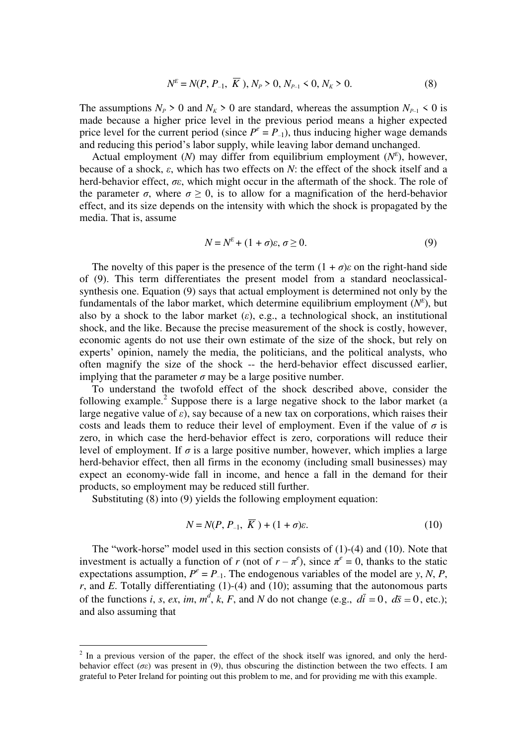$$
N^{E} = N(P, P_{-1}, \overline{K}), N_{P} > 0, N_{P-1} < 0, N_{K} > 0.
$$
 (8)

The assumptions  $N_P > 0$  and  $N_K > 0$  are standard, whereas the assumption  $N_{P-1} < 0$  is made because a higher price level in the previous period means a higher expected price level for the current period (since  $P^e = P_{-1}$ ), thus inducing higher wage demands and reducing this period's labor supply, while leaving labor demand unchanged.

Actual employment  $(N)$  may differ from equilibrium employment  $(N<sup>E</sup>)$ , however, because of a shock, *ε*, which has two effects on *N*: the effect of the shock itself and a herd-behavior effect, *σε*, which might occur in the aftermath of the shock. The role of the parameter  $\sigma$ , where  $\sigma \geq 0$ , is to allow for a magnification of the herd-behavior effect, and its size depends on the intensity with which the shock is propagated by the media. That is, assume

$$
N = N^{E} + (1 + \sigma)\varepsilon, \sigma \ge 0.
$$
\n<sup>(9)</sup>

The novelty of this paper is the presence of the term  $(1 + \sigma)\varepsilon$  on the right-hand side of (9). This term differentiates the present model from a standard neoclassicalsynthesis one. Equation (9) says that actual employment is determined not only by the fundamentals of the labor market, which determine equilibrium employment  $(N<sup>E</sup>)$ , but also by a shock to the labor market  $(\varepsilon)$ , e.g., a technological shock, an institutional shock, and the like. Because the precise measurement of the shock is costly, however, economic agents do not use their own estimate of the size of the shock, but rely on experts' opinion, namely the media, the politicians, and the political analysts, who often magnify the size of the shock -- the herd-behavior effect discussed earlier, implying that the parameter  $\sigma$  may be a large positive number.

To understand the twofold effect of the shock described above, consider the following example.<sup>2</sup> Suppose there is a large negative shock to the labor market (a large negative value of  $\varepsilon$ ), say because of a new tax on corporations, which raises their costs and leads them to reduce their level of employment. Even if the value of  $\sigma$  is zero, in which case the herd-behavior effect is zero, corporations will reduce their level of employment. If  $\sigma$  is a large positive number, however, which implies a large herd-behavior effect, then all firms in the economy (including small businesses) may expect an economy-wide fall in income, and hence a fall in the demand for their products, so employment may be reduced still further.

Substituting (8) into (9) yields the following employment equation:

 $\overline{a}$ 

$$
N = N(P, P_{-1}, K) + (1 + \sigma)\varepsilon. \tag{10}
$$

The "work-horse" model used in this section consists of (1)-(4) and (10). Note that investment is actually a function of *r* (not of  $r - \pi^e$ ), since  $\pi^e = 0$ , thanks to the static expectations assumption,  $P^e = P_{-1}$ . The endogenous variables of the model are *y*, *N*, *P*,  $r$ , and *E*. Totally differentiating (1)-(4) and (10); assuming that the autonomous parts of the functions *i*, *s*, *ex*, *im*,  $m^d$ , *k*, *F*, and *N* do not change (e.g.,  $d\overline{i} = 0$ ,  $d\overline{s} = 0$ , etc.); and also assuming that

 $2$  In a previous version of the paper, the effect of the shock itself was ignored, and only the herdbehavior effect (*σε*) was present in (9), thus obscuring the distinction between the two effects. I am grateful to Peter Ireland for pointing out this problem to me, and for providing me with this example.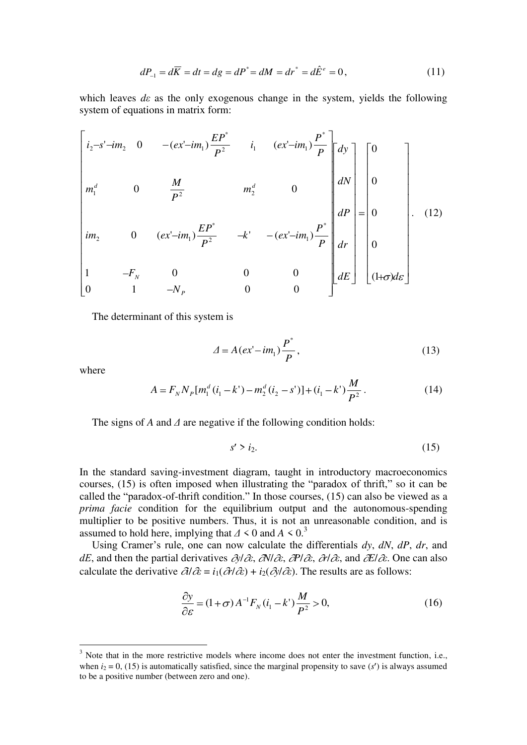$$
dP_{-1} = d\overline{K} = dt = dg = dP^* = dM = dr^* = d\hat{E}^e = 0,
$$
\n(11)

which leaves *dε* as the only exogenous change in the system, yields the following system of equations in matrix form:

$$
\begin{bmatrix}\ni_{2}-s'-im_{2} & 0 & -(ex'-im_{1})\frac{EP^{*}}{P^{2}} & i_{1} & (ex'-im_{1})\frac{P^{*}}{P}\n\end{bmatrix}\n\begin{bmatrix}\ndy \\
d\theta\n\end{bmatrix}\n\begin{bmatrix}\n0 \\
0 \\
0\n\end{bmatrix}
$$
\n
$$
im_{2} \quad 0 \quad (ex'-im_{1})\frac{EP^{*}}{P^{2}} \quad -k' & -(ex'-im_{1})\frac{P^{*}}{P}\n\begin{bmatrix}\ndP \\
dP \\
dr \\
dF\n\end{bmatrix}\n=\n\begin{bmatrix}\n0 \\
0 \\
0 \\
0\n\end{bmatrix}.
$$
\n(12)\n
$$
i m_{2} \quad 0 \quad (ex'-im_{1})\frac{EP^{*}}{P^{2}} \quad -k' & -(ex'-im_{1})\frac{P^{*}}{P}\n\begin{bmatrix}\ndP \\
dr \\
dt\n\end{bmatrix}\n\begin{bmatrix}\n0 \\
0 \\
0 \\
0\n\end{bmatrix}.
$$
\n(12)

The determinant of this system is

$$
\Delta = A(ex'-im_1)\frac{P^*}{P},\tag{13}
$$

where

 $\overline{a}$ 

$$
A = F_N N_P [m_1^d (i_1 - k') - m_2^d (i_2 - s')] + (i_1 - k') \frac{M}{P^2}.
$$
 (14)

The signs of *A* and *Δ* are negative if the following condition holds:

$$
s' > i_2. \tag{15}
$$

In the standard saving-investment diagram, taught in introductory macroeconomics courses, (15) is often imposed when illustrating the "paradox of thrift," so it can be called the "paradox-of-thrift condition." In those courses, (15) can also be viewed as a *prima facie* condition for the equilibrium output and the autonomous-spending multiplier to be positive numbers. Thus, it is not an unreasonable condition, and is assumed to hold here, implying that  $\Delta$  < 0 and  $A \le 0$ .<sup>3</sup>

Using Cramer's rule, one can now calculate the differentials *dy*, *dN*, *dP*, *dr*, and *dE*, and then the partial derivatives  $\partial \theta / \partial \epsilon$ ,  $\partial \theta / \partial \epsilon$ ,  $\partial \theta / \partial \epsilon$ ,  $\partial \theta / \partial \epsilon$ , and  $\partial E / \partial \epsilon$ . One can also calculate the derivative  $\partial l/\partial \varepsilon = i_1(\partial r/\partial \varepsilon) + i_2(\partial y/\partial \varepsilon)$ . The results are as follows:

$$
\frac{\partial y}{\partial \varepsilon} = (1 + \sigma) A^{-1} F_N (i_1 - k') \frac{M}{P^2} > 0,
$$
\n(16)

 $3$  Note that in the more restrictive models where income does not enter the investment function, i.e., when  $i_2 = 0$ , (15) is automatically satisfied, since the marginal propensity to save ( $s'$ ) is always assumed to be a positive number (between zero and one).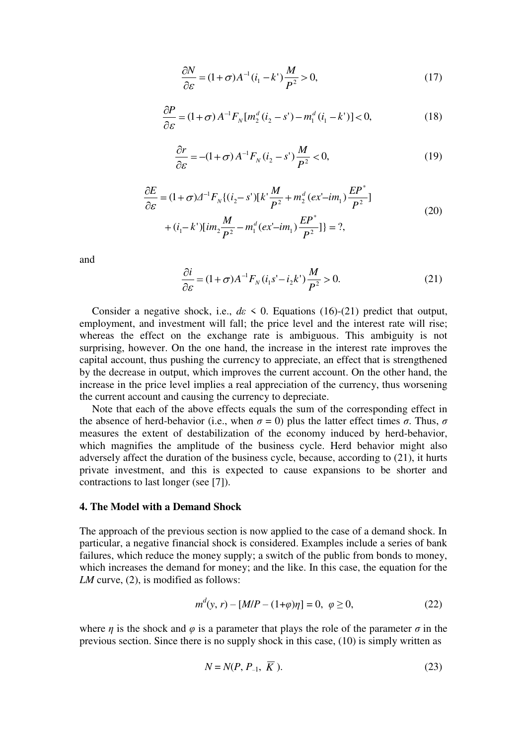$$
\frac{\partial N}{\partial \varepsilon} = (1 + \sigma) A^{-1} (i_1 - k') \frac{M}{P^2} > 0,
$$
\n(17)

$$
\frac{\partial P}{\partial \varepsilon} = (1 + \sigma) A^{-1} F_N[m_2^d (i_2 - s') - m_1^d (i_1 - k')] < 0,
$$
\n(18)

$$
\frac{\partial r}{\partial \varepsilon} = -(1+\sigma) A^{-1} F_N (i_2 - s') \frac{M}{P^2} < 0,
$$
\n(19)

$$
\frac{\partial E}{\partial \varepsilon} = (1 + \sigma) \Delta^{-1} F_N \{ (i_2 - s') [k' \frac{M}{P^2} + m_2^d (ex' - im_1) \frac{E P^*}{P^2}]
$$
  
+  $(i_1 - k') [im_2 \frac{M}{P^2} - m_1^d (ex' - im_1) \frac{E P^*}{P^2}] \} = ?$ , (20)

and

$$
\frac{\partial i}{\partial \varepsilon} = (1 + \sigma) A^{-1} F_N (i_1 s' - i_2 k') \frac{M}{P^2} > 0.
$$
 (21)

Consider a negative shock, i.e.,  $d\varepsilon \leq 0$ . Equations (16)-(21) predict that output, employment, and investment will fall; the price level and the interest rate will rise; whereas the effect on the exchange rate is ambiguous. This ambiguity is not surprising, however. On the one hand, the increase in the interest rate improves the capital account, thus pushing the currency to appreciate, an effect that is strengthened by the decrease in output, which improves the current account. On the other hand, the increase in the price level implies a real appreciation of the currency, thus worsening the current account and causing the currency to depreciate.

Note that each of the above effects equals the sum of the corresponding effect in the absence of herd-behavior (i.e., when  $\sigma = 0$ ) plus the latter effect times *σ*. Thus, *σ* measures the extent of destabilization of the economy induced by herd-behavior, which magnifies the amplitude of the business cycle. Herd behavior might also adversely affect the duration of the business cycle, because, according to (21), it hurts private investment, and this is expected to cause expansions to be shorter and contractions to last longer (see [7]).

#### **4. The Model with a Demand Shock**

*d*

The approach of the previous section is now applied to the case of a demand shock. In particular, a negative financial shock is considered. Examples include a series of bank failures, which reduce the money supply; a switch of the public from bonds to money, which increases the demand for money; and the like. In this case, the equation for the *LM* curve, (2), is modified as follows:

$$
m^{d}(y, r) - [M/P - (1+\varphi)\eta] = 0, \ \ \varphi \ge 0,
$$
\n(22)

where *η* is the shock and  $\varphi$  is a parameter that plays the role of the parameter  $\sigma$  in the previous section. Since there is no supply shock in this case, (10) is simply written as

$$
N = N(P, P_{-1}, \overline{K}).
$$
\n
$$
(23)
$$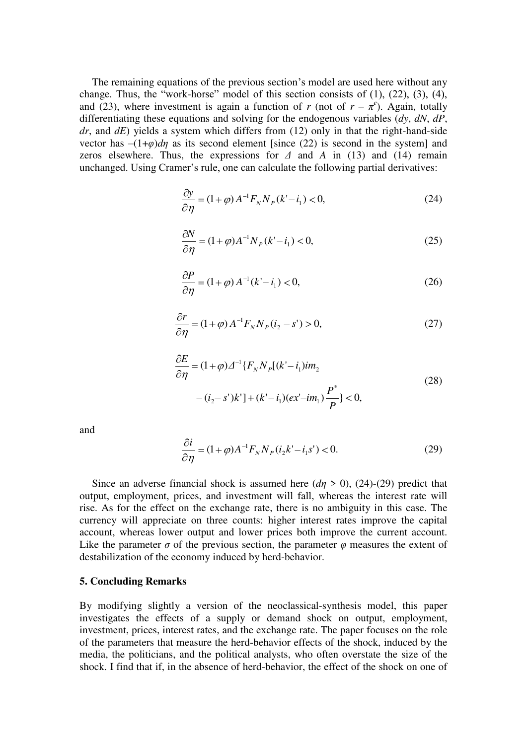The remaining equations of the previous section's model are used here without any change. Thus, the "work-horse" model of this section consists of  $(1)$ ,  $(22)$ ,  $(3)$ ,  $(4)$ , and (23), where investment is again a function of *r* (not of  $r - \pi^e$ ). Again, totally differentiating these equations and solving for the endogenous variables (*dy*, *dN*, *dP*, *dr*, and *dE*) yields a system which differs from (12) only in that the right-hand-side vector has  $-(1+\varphi)d\eta$  as its second element [since (22) is second in the system] and zeros elsewhere. Thus, the expressions for *Δ* and *A* in (13) and (14) remain unchanged. Using Cramer's rule, one can calculate the following partial derivatives:

$$
\frac{\partial y}{\partial \eta} = (1 + \varphi) A^{-1} F_N N_P(k'-i_1) < 0,\tag{24}
$$

$$
\frac{\partial N}{\partial \eta} = (1 + \varphi) A^{-1} N_P(k'-i_1) < 0,\tag{25}
$$

$$
\frac{\partial P}{\partial \eta} = (1 + \varphi) A^{-1} (k' - i_1) < 0,\tag{26}
$$

$$
\frac{\partial r}{\partial \eta} = (1 + \varphi) A^{-1} F_N N_P (i_2 - s') > 0,
$$
\n(27)

$$
\frac{\partial E}{\partial \eta} = (1 + \varphi) \Delta^{-1} \{ F_N N_P [(k'-i_1) i m_2 - (i_2 - s')k'] + (k'-i_1) (ex'-im_1) \frac{P^*}{P} \} < 0,
$$
\n(28)

and

$$
\frac{\partial i}{\partial \eta} = (1 + \varphi) A^{-1} F_N N_P (i_2 k' - i_1 s') < 0.
$$
 (29)

Since an adverse financial shock is assumed here  $(d\eta > 0)$ , (24)-(29) predict that output, employment, prices, and investment will fall, whereas the interest rate will rise. As for the effect on the exchange rate, there is no ambiguity in this case. The currency will appreciate on three counts: higher interest rates improve the capital account, whereas lower output and lower prices both improve the current account. Like the parameter  $\sigma$  of the previous section, the parameter  $\varphi$  measures the extent of destabilization of the economy induced by herd-behavior.

#### **5. Concluding Remarks**

By modifying slightly a version of the neoclassical-synthesis model, this paper investigates the effects of a supply or demand shock on output, employment, investment, prices, interest rates, and the exchange rate. The paper focuses on the role of the parameters that measure the herd-behavior effects of the shock, induced by the media, the politicians, and the political analysts, who often overstate the size of the shock. I find that if, in the absence of herd-behavior, the effect of the shock on one of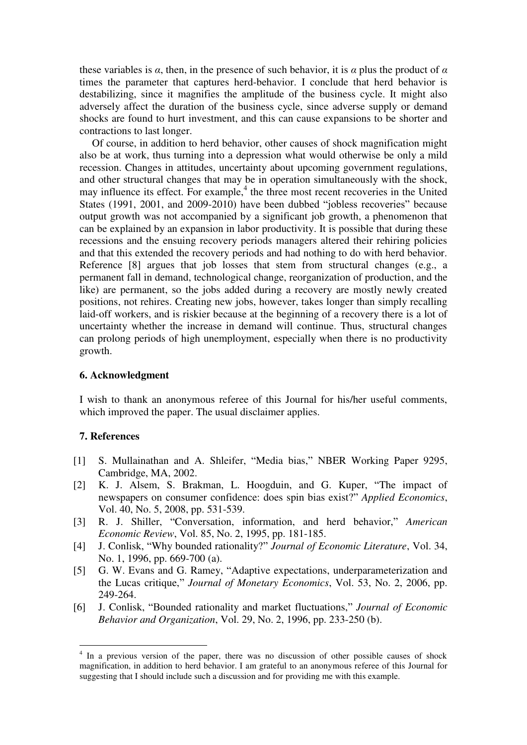these variables is  $\alpha$ , then, in the presence of such behavior, it is  $\alpha$  plus the product of  $\alpha$ times the parameter that captures herd-behavior. I conclude that herd behavior is destabilizing, since it magnifies the amplitude of the business cycle. It might also adversely affect the duration of the business cycle, since adverse supply or demand shocks are found to hurt investment, and this can cause expansions to be shorter and contractions to last longer.

 Of course, in addition to herd behavior, other causes of shock magnification might also be at work, thus turning into a depression what would otherwise be only a mild recession. Changes in attitudes, uncertainty about upcoming government regulations, and other structural changes that may be in operation simultaneously with the shock, may influence its effect. For example,<sup>4</sup> the three most recent recoveries in the United States (1991, 2001, and 2009-2010) have been dubbed "jobless recoveries" because output growth was not accompanied by a significant job growth, a phenomenon that can be explained by an expansion in labor productivity. It is possible that during these recessions and the ensuing recovery periods managers altered their rehiring policies and that this extended the recovery periods and had nothing to do with herd behavior. Reference [8] argues that job losses that stem from structural changes (e.g., a permanent fall in demand, technological change, reorganization of production, and the like) are permanent, so the jobs added during a recovery are mostly newly created positions, not rehires. Creating new jobs, however, takes longer than simply recalling laid-off workers, and is riskier because at the beginning of a recovery there is a lot of uncertainty whether the increase in demand will continue. Thus, structural changes can prolong periods of high unemployment, especially when there is no productivity growth.

# **6. Acknowledgment**

I wish to thank an anonymous referee of this Journal for his/her useful comments, which improved the paper. The usual disclaimer applies.

# **7. References**

- [1] S. Mullainathan and A. Shleifer, "Media bias," NBER Working Paper 9295, Cambridge, MA, 2002.
- [2] K. J. Alsem, S. Brakman, L. Hoogduin, and G. Kuper, "The impact of newspapers on consumer confidence: does spin bias exist?" *Applied Economics*, Vol. 40, No. 5, 2008, pp. 531-539.
- [3] R. J. Shiller, "Conversation, information, and herd behavior," *American Economic Review*, Vol. 85, No. 2, 1995, pp. 181-185.
- [4] J. Conlisk, "Why bounded rationality?" *[Journal of Economic](http://www.sciencedirect.com/science/journal/01640704) Literature*, Vol. [34,](http://www.sciencedirect.com/science?_ob=PublicationURL&_tockey=%23TOC%237330%232010%23999679998%231706090%23FLA%23&_cdi=7330&_pubType=J&view=c&_auth=y&_acct=C000059626&_version=1&_urlVersion=0&_userid=83469&md5=2fa528f59e7fdfa33f6fe88bf4703e18)  [No. 1,](http://www.sciencedirect.com/science?_ob=PublicationURL&_tockey=%23TOC%237330%232010%23999679998%231706090%23FLA%23&_cdi=7330&_pubType=J&view=c&_auth=y&_acct=C000059626&_version=1&_urlVersion=0&_userid=83469&md5=2fa528f59e7fdfa33f6fe88bf4703e18) 1996, pp. 669-700 (a).
- [5] G. W. Evans and G. Ramey, "Adaptive expectations, underparameterization and the Lucas critique," *[Journal of Monetary Economics](http://www.sciencedirect.com/science/journal/01640704)*, Vol. [53,](http://www.sciencedirect.com/science?_ob=PublicationURL&_tockey=%23TOC%237330%232010%23999679998%231706090%23FLA%23&_cdi=7330&_pubType=J&view=c&_auth=y&_acct=C000059626&_version=1&_urlVersion=0&_userid=83469&md5=2fa528f59e7fdfa33f6fe88bf4703e18) No. 2, 2006, pp. 249-264.
- [6] J. Conlisk, "Bounded rationality and market fluctuations," *[Journal of Economic](http://www.sciencedirect.com/science/journal/01640704)  Behavior and Organization*, Vol. [29,](http://www.sciencedirect.com/science?_ob=PublicationURL&_tockey=%23TOC%237330%232010%23999679998%231706090%23FLA%23&_cdi=7330&_pubType=J&view=c&_auth=y&_acct=C000059626&_version=1&_urlVersion=0&_userid=83469&md5=2fa528f59e7fdfa33f6fe88bf4703e18) No. 2, 1996, pp. 233-250 (b).

<sup>&</sup>lt;sup>4</sup> In a previous version of the paper, there was no discussion of other possible causes of shock magnification, in addition to herd behavior. I am grateful to an anonymous referee of this Journal for suggesting that I should include such a discussion and for providing me with this example.